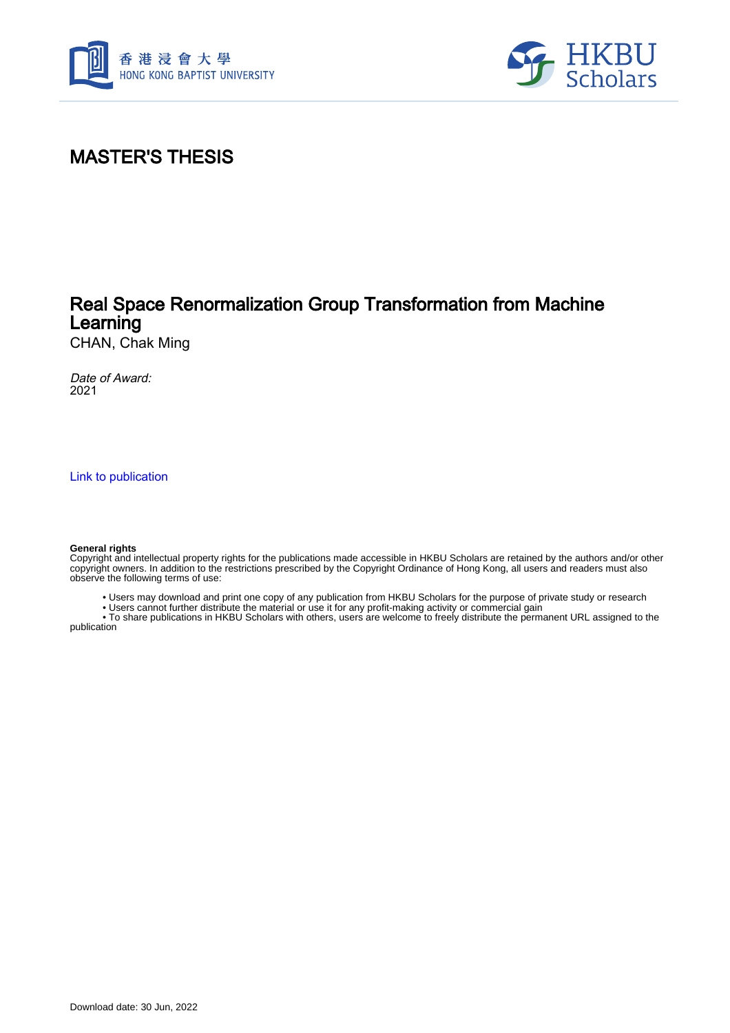



## MASTER'S THESIS

### Real Space Renormalization Group Transformation from Machine Learning

CHAN, Chak Ming

Date of Award: 2021

[Link to publication](https://scholars.hkbu.edu.hk/en/studentTheses/6ed4c3ac-8ef8-4960-8dcc-b2f61c0bc37c)

#### **General rights**

Copyright and intellectual property rights for the publications made accessible in HKBU Scholars are retained by the authors and/or other copyright owners. In addition to the restrictions prescribed by the Copyright Ordinance of Hong Kong, all users and readers must also observe the following terms of use:

- Users may download and print one copy of any publication from HKBU Scholars for the purpose of private study or research
- Users cannot further distribute the material or use it for any profit-making activity or commercial gain

 • To share publications in HKBU Scholars with others, users are welcome to freely distribute the permanent URL assigned to the publication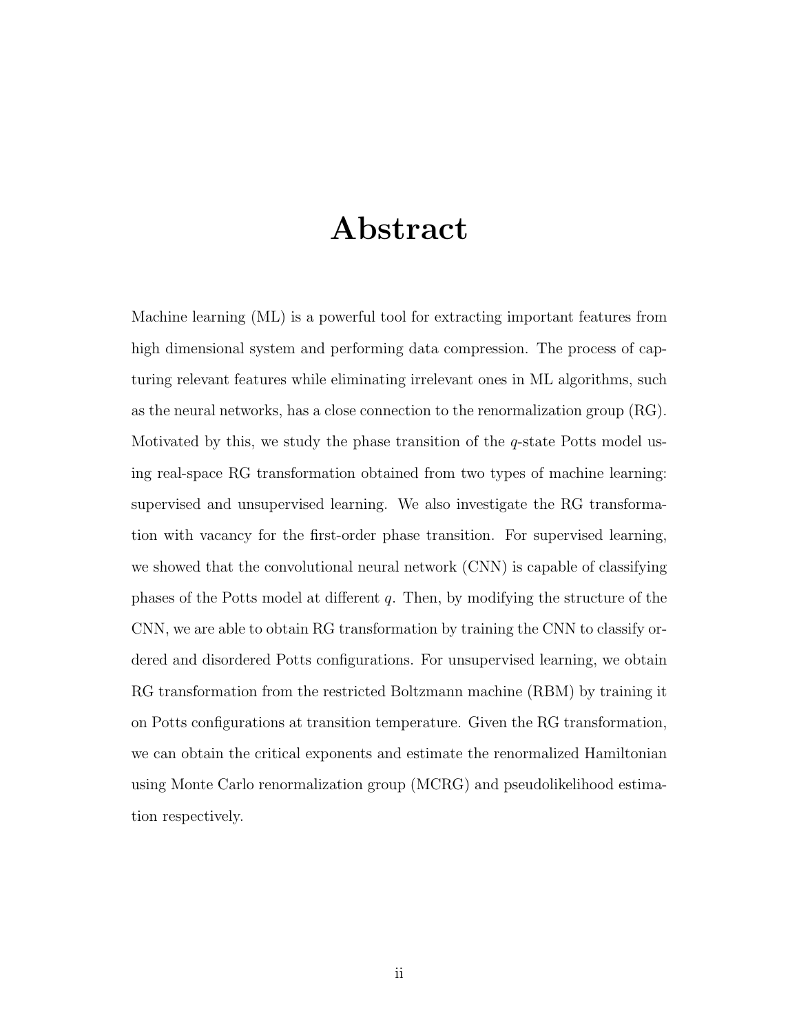## Abstract

Machine learning (ML) is a powerful tool for extracting important features from high dimensional system and performing data compression. The process of capturing relevant features while eliminating irrelevant ones in ML algorithms, such as the neural networks, has a close connection to the renormalization group (RG). Motivated by this, we study the phase transition of the q-state Potts model using real-space RG transformation obtained from two types of machine learning: supervised and unsupervised learning. We also investigate the RG transformation with vacancy for the first-order phase transition. For supervised learning, we showed that the convolutional neural network (CNN) is capable of classifying phases of the Potts model at different  $q$ . Then, by modifying the structure of the CNN, we are able to obtain RG transformation by training the CNN to classify ordered and disordered Potts configurations. For unsupervised learning, we obtain RG transformation from the restricted Boltzmann machine (RBM) by training it on Potts configurations at transition temperature. Given the RG transformation, we can obtain the critical exponents and estimate the renormalized Hamiltonian using Monte Carlo renormalization group (MCRG) and pseudolikelihood estimation respectively.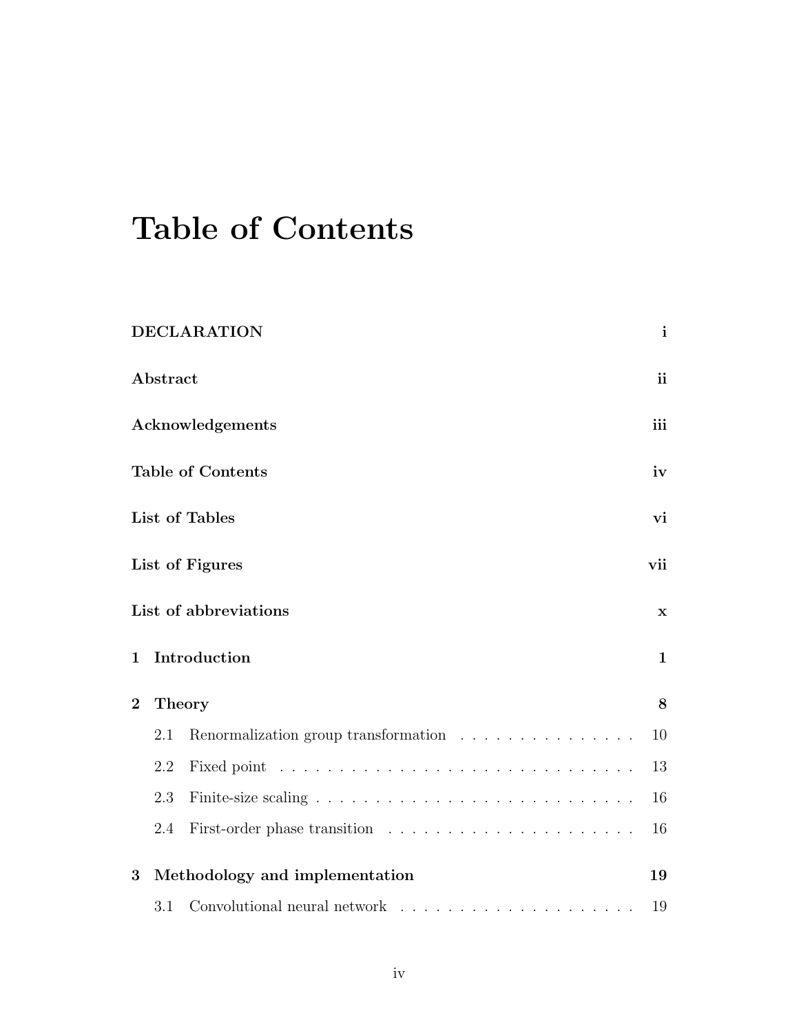# Table of Contents

|                                     |               | <b>DECLARATION</b>                                                                    | $\mathbf{i}$ |
|-------------------------------------|---------------|---------------------------------------------------------------------------------------|--------------|
|                                     | Abstract      |                                                                                       | <i>ii</i>    |
| Acknowledgements                    |               |                                                                                       | iii          |
| <b>Table of Contents</b>            |               |                                                                                       | iv           |
|                                     |               | List of Tables                                                                        | vi           |
|                                     |               | List of Figures                                                                       | vii          |
|                                     |               | List of abbreviations                                                                 | $\mathbf x$  |
| $\mathbf 1$                         |               | Introduction                                                                          | $\mathbf{1}$ |
| $\overline{2}$                      | <b>Theory</b> |                                                                                       |              |
|                                     | 2.1           | Renormalization group transformation $\ldots \ldots \ldots \ldots \ldots$             | 10           |
|                                     | 2.2           |                                                                                       | 13           |
|                                     | 2.3           |                                                                                       | 16           |
|                                     | 2.4           |                                                                                       | 16           |
| Methodology and implementation<br>3 |               |                                                                                       | 19           |
|                                     | 3.1           | Convolutional neural network $\quad \ldots \ldots \ldots \ldots \ldots \ldots \ldots$ | 19           |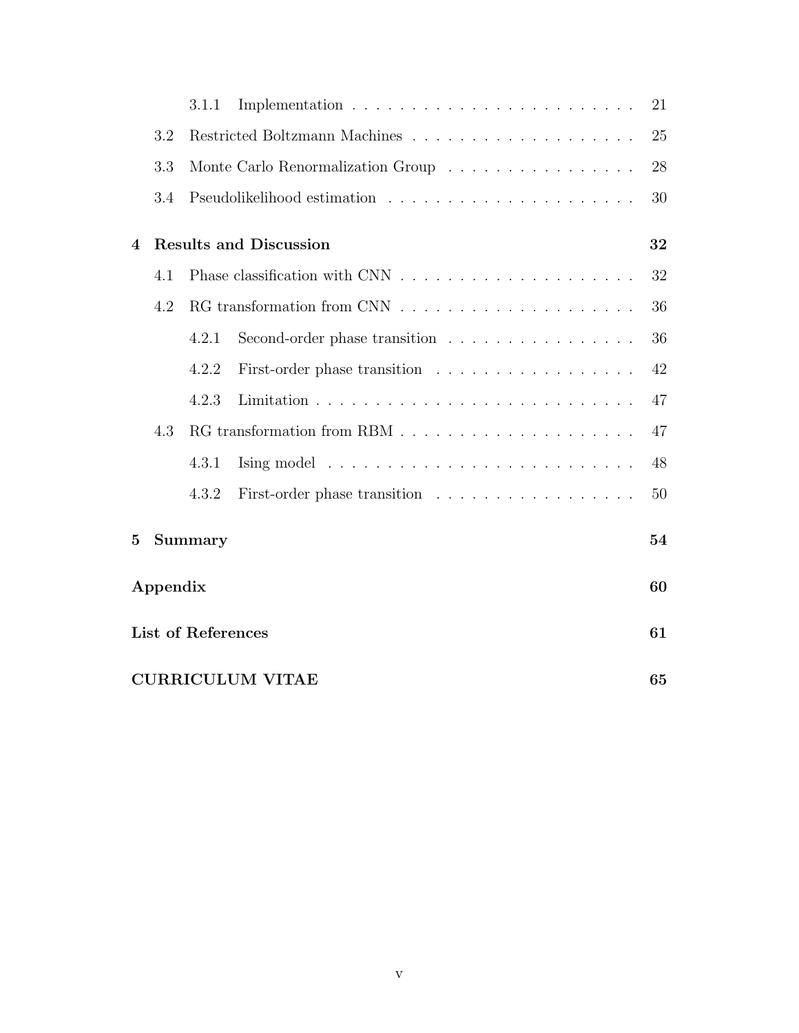|                           |                               | 3.1.1   |                                                                       | 21 |
|---------------------------|-------------------------------|---------|-----------------------------------------------------------------------|----|
|                           | 3.2                           |         |                                                                       | 25 |
|                           | 3.3                           |         | Monte Carlo Renormalization Group                                     | 28 |
|                           | 3.4                           |         |                                                                       | 30 |
| 4                         |                               |         | <b>Results and Discussion</b>                                         | 32 |
|                           | 4.1                           |         |                                                                       | 32 |
|                           | 4.2                           |         |                                                                       | 36 |
|                           |                               | 4.2.1   | Second-order phase transition                                         | 36 |
|                           |                               | 4.2.2   | First-order phase transition                                          | 42 |
|                           |                               | 4.2.3   |                                                                       | 47 |
|                           | 4.3                           |         |                                                                       | 47 |
|                           |                               | 4.3.1   | Ising model $\ldots \ldots \ldots \ldots \ldots \ldots \ldots \ldots$ | 48 |
|                           |                               | 4.3.2   | First-order phase transition                                          | 50 |
| $\bf{5}$                  |                               | Summary |                                                                       | 54 |
| Appendix                  |                               |         |                                                                       | 60 |
| <b>List of References</b> |                               |         |                                                                       | 61 |
|                           | <b>CURRICULUM VITAE</b><br>65 |         |                                                                       |    |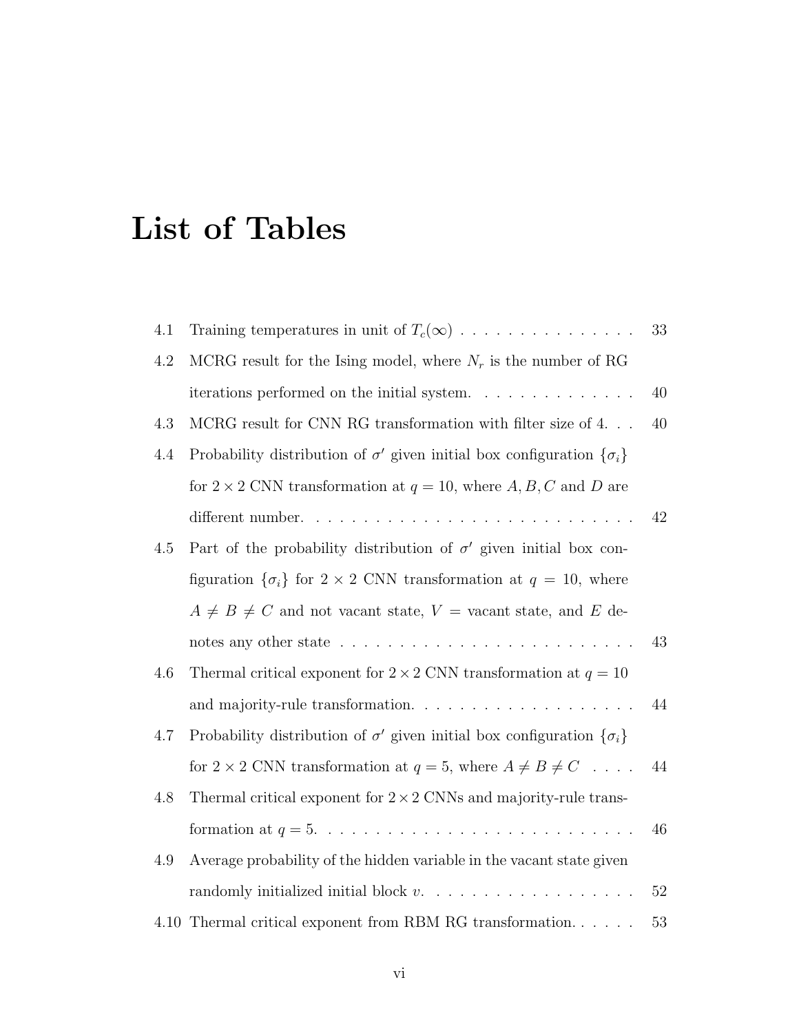# List of Tables

| 4.1 | Training temperatures in unit of $T_c(\infty)$                                         | 33 |
|-----|----------------------------------------------------------------------------------------|----|
| 4.2 | MCRG result for the Ising model, where $N_r$ is the number of RG                       |    |
|     | iterations performed on the initial system.                                            | 40 |
| 4.3 | MCRG result for CNN RG transformation with filter size of $4.$                         | 40 |
| 4.4 | Probability distribution of $\sigma'$ given initial box configuration $\{\sigma_i\}$   |    |
|     | for $2 \times 2$ CNN transformation at $q = 10$ , where A, B, C and D are              |    |
|     |                                                                                        | 42 |
| 4.5 | Part of the probability distribution of $\sigma'$ given initial box con-               |    |
|     | figuration $\{\sigma_i\}$ for $2 \times 2$ CNN transformation at $q = 10$ , where      |    |
|     | $A \neq B \neq C$ and not vacant state, $V =$ vacant state, and E de-                  |    |
|     | notes any other state $\ldots \ldots \ldots \ldots \ldots \ldots \ldots \ldots \ldots$ | 43 |
| 4.6 | Thermal critical exponent for $2 \times 2$ CNN transformation at $q = 10$              |    |
|     |                                                                                        | 44 |
| 4.7 | Probability distribution of $\sigma'$ given initial box configuration $\{\sigma_i\}$   |    |
|     | for $2 \times 2$ CNN transformation at $q = 5$ , where $A \neq B \neq C \dots$ .       | 44 |
| 4.8 | Thermal critical exponent for $2 \times 2$ CNNs and majority-rule trans-               |    |
|     |                                                                                        | 46 |
| 4.9 | Average probability of the hidden variable in the vacant state given                   |    |
|     |                                                                                        | 52 |
|     | $4.10\,$ Thermal critical exponent from RBM RG transformation.                         | 53 |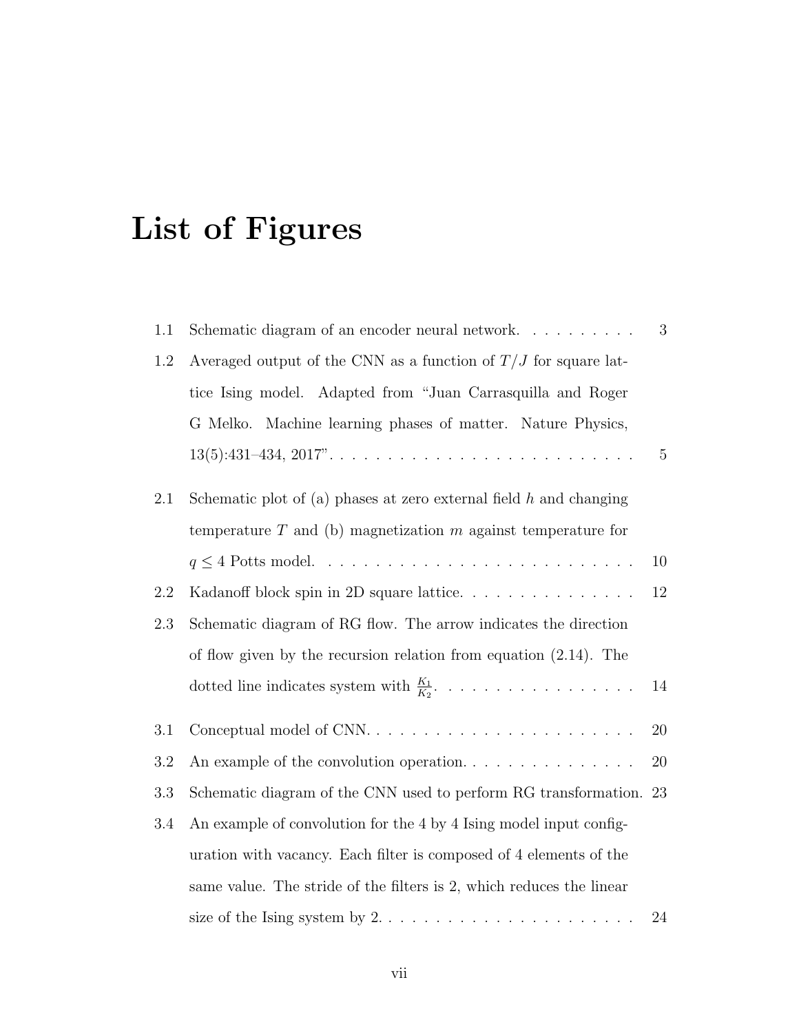# List of Figures

| 1.1 | Schematic diagram of an encoder neural network                                    | 3              |
|-----|-----------------------------------------------------------------------------------|----------------|
| 1.2 | Averaged output of the CNN as a function of $T/J$ for square lat-                 |                |
|     | tice Ising model. Adapted from "Juan Carrasquilla and Roger                       |                |
|     | Machine learning phases of matter. Nature Physics,<br>G Melko.                    |                |
|     |                                                                                   | $\overline{5}$ |
| 2.1 | Schematic plot of (a) phases at zero external field $h$ and changing              |                |
|     | temperature $T$ and (b) magnetization $m$ against temperature for                 |                |
|     |                                                                                   | 10             |
| 2.2 | Kadanoff block spin in 2D square lattice                                          | 12             |
| 2.3 | Schematic diagram of RG flow. The arrow indicates the direction                   |                |
|     | of flow given by the recursion relation from equation $(2.14)$ . The              |                |
|     |                                                                                   | 14             |
| 3.1 |                                                                                   | 20             |
| 3.2 | An example of the convolution operation. $\dots \dots \dots \dots \dots$          | 20             |
| 3.3 | Schematic diagram of the CNN used to perform RG transformation. 23                |                |
| 3.4 | An example of convolution for the 4 by 4 Ising model input config-                |                |
|     | uration with vacancy. Each filter is composed of 4 elements of the                |                |
|     | same value. The stride of the filters is 2, which reduces the linear              |                |
|     | size of the Ising system by $2. \ldots \ldots \ldots \ldots \ldots \ldots \ldots$ | 24             |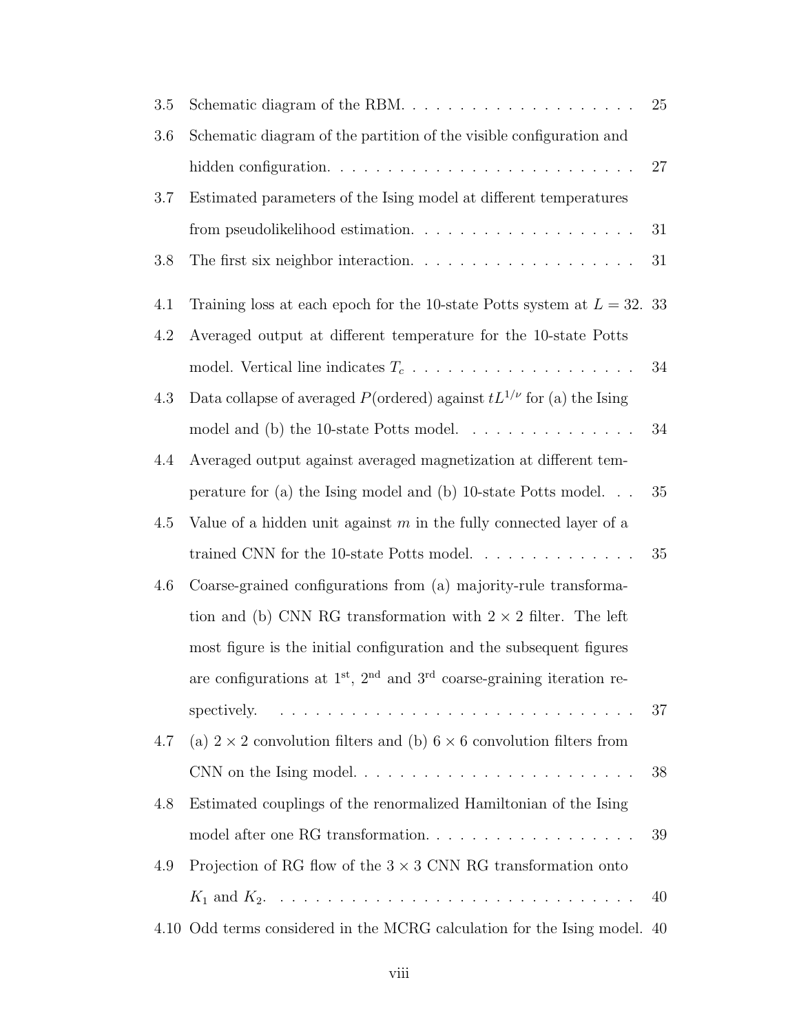| $3.5\,$ |                                                                                            | 25 |
|---------|--------------------------------------------------------------------------------------------|----|
| 3.6     | Schematic diagram of the partition of the visible configuration and                        |    |
|         |                                                                                            | 27 |
| 3.7     | Estimated parameters of the Ising model at different temperatures                          |    |
|         |                                                                                            | 31 |
| 3.8     | The first six neighbor interaction. $\ldots \ldots \ldots \ldots \ldots \ldots$            | 31 |
| 4.1     | Training loss at each epoch for the 10-state Potts system at $L = 32$ . 33                 |    |
| 4.2     | Averaged output at different temperature for the 10-state Potts                            |    |
|         |                                                                                            | 34 |
| 4.3     | Data collapse of averaged $P(\text{ordered})$ against $tL^{1/\nu}$ for (a) the Ising       |    |
|         | model and (b) the 10-state Potts model. $\ldots \ldots \ldots \ldots \ldots$               | 34 |
| 4.4     | Averaged output against averaged magnetization at different tem-                           |    |
|         | perature for (a) the Ising model and (b) 10-state Potts model. $\ldots$                    | 35 |
| 4.5     | Value of a hidden unit against $m$ in the fully connected layer of a                       |    |
|         | trained CNN for the 10-state Potts model. $\ldots \ldots \ldots \ldots$                    | 35 |
| 4.6     | Coarse-grained configurations from (a) majority-rule transforma-                           |    |
|         | tion and (b) CNN RG transformation with $2 \times 2$ filter. The left                      |    |
|         | most figure is the initial configuration and the subsequent figures                        |    |
|         | are configurations at $1st$ , $2nd$ and $3rd$ coarse-graining iteration re-                |    |
|         | spectively. $\ldots \ldots \ldots \ldots \ldots \ldots \ldots \ldots \ldots \ldots \ldots$ | 37 |
| 4.7     | (a) $2 \times 2$ convolution filters and (b) $6 \times 6$ convolution filters from         |    |
|         |                                                                                            | 38 |
| 4.8     | Estimated couplings of the renormalized Hamiltonian of the Ising                           |    |
|         |                                                                                            | 39 |
| 4.9     | Projection of RG flow of the $3 \times 3$ CNN RG transformation onto                       |    |
|         |                                                                                            | 40 |
|         | 4.10 Odd terms considered in the MCRG calculation for the Ising model. 40                  |    |